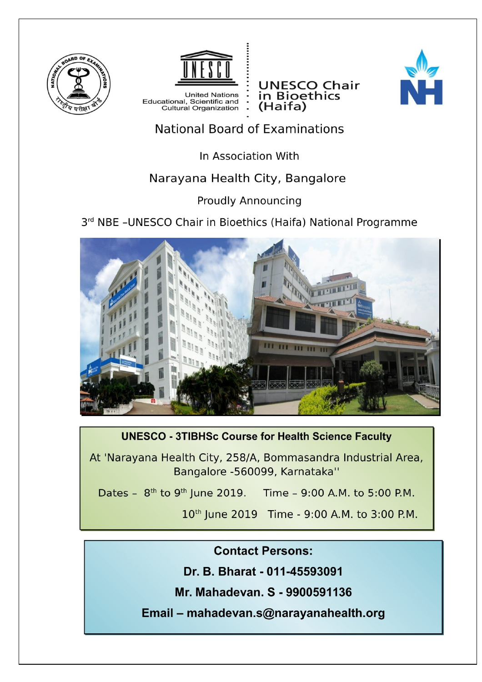



**United Nations** Educational, Scientific and<br>Cultural Organization

**UNESCO Chair** in Bioethics (Haifa)



# **National Board of Examinations**

In Association With

## Narayana Health City, Bangalore

#### **Proudly Announcing**

### 3rd NBE -UNESCO Chair in Bioethics (Haifa) National Programme



### **UNESCO - 3TIBHSc Course for Health Science Faculty**

At 'Narayana Health City, 258/A, Bommasandra Industrial Area, Bangalore -560099, Karnataka"

Dates -  $8^{th}$  to  $9^{th}$  June 2019. Time - 9:00 A.M. to 5:00 P.M.

10<sup>th</sup> June 2019 Time - 9:00 A.M. to 3:00 P.M.

#### **Contact Persons:**

Dr. B. Bharat - 011-45593091

Mr. Mahadevan. S - 9900591136

Email - mahadevan.s@narayanahealth.org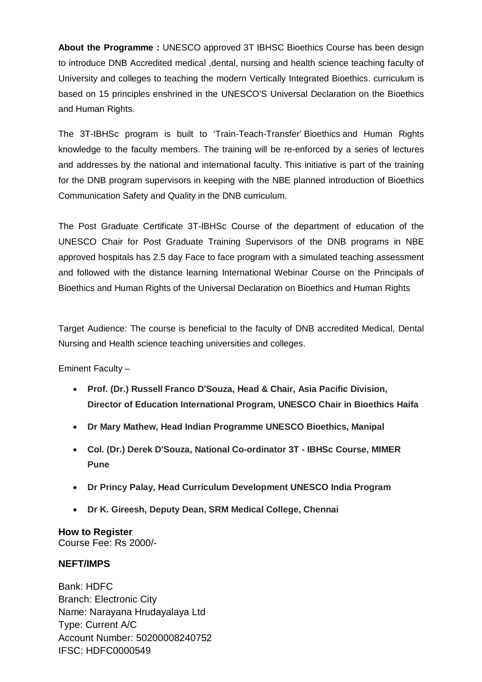**About the Programme :** UNESCO approved 3T IBHSC Bioethics Course has been design to introduce DNB Accredited medical ,dental, nursing and health science teaching faculty of University and colleges to teaching the modern Vertically Integrated Bioethics. curriculum is based on 15 principles enshrined in the UNESCO'S Universal Declaration on the Bioethics and Human Rights.

The 3T-IBHSc program is built to 'Train-Teach-Transfer' Bioethics and Human Rights knowledge to the faculty members. The training will be re-enforced by a series of lectures and addresses by the national and international faculty. This initiative is part of the training for the DNB program supervisors in keeping with the NBE planned introduction of Bioethics Communication Safety and Quality in the DNB curriculum.

The Post Graduate Certificate 3T-IBHSc Course of the department of education of the UNESCO Chair for Post Graduate Training Supervisors of the DNB programs in NBE approved hospitals has 2.5 day Face to face program with a simulated teaching assessment and followed with the distance learning International Webinar Course on the Principals of Bioethics and Human Rights of the Universal Declaration on Bioethics and Human Rights

Target Audience: The course is beneficial to the faculty of DNB accredited Medical, Dental Nursing and Health science teaching universities and colleges.

Eminent Faculty –

- **Prof. (Dr.) Russell Franco D'Souza, Head & Chair, Asia Pacific Division, Director of Education International Program, UNESCO Chair in Bioethics Haifa**
- **Dr Mary Mathew, Head Indian Programme UNESCO Bioethics, Manipal**
- **Col. (Dr.) Derek D'Souza, National Co-ordinator 3T - IBHSc Course, MIMER Pune**
- **Dr Princy Palay, Head Curriculum Development UNESCO India Program**
- **Dr K. Gireesh, Deputy Dean, SRM Medical College, Chennai**

#### **How to Register** Course Fee: Rs 2000/-

#### **NEFT/IMPS**

Bank: HDFC Branch: Electronic City Name: Narayana Hrudayalaya Ltd Type: Current A/C Account Number: 50200008240752 IFSC: HDFC0000549